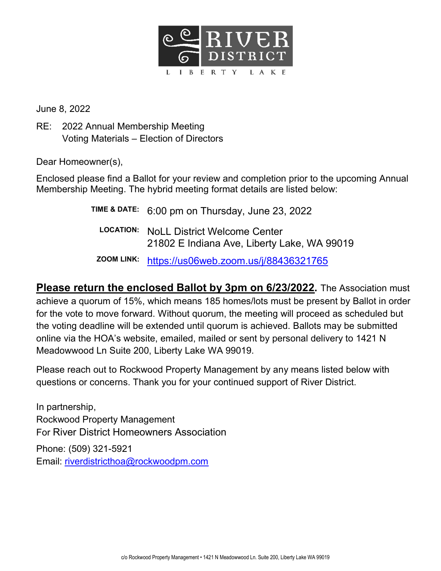

June 8, 2022

RE: 2022 Annual Membership Meeting Voting Materials – Election of Directors

Dear Homeowner(s),

Enclosed please find a Ballot for your review and completion prior to the upcoming Annual Membership Meeting. The hybrid meeting format details are listed below:

> TIME & DATE: 6:00 pm on Thursday, June 23, 2022 LOCATION: NoLL District Welcome Center 21802 E Indiana Ave, Liberty Lake, WA 99019 ZOOM LINK: https://us06web.zoom.us/j/88436321765

Please return the enclosed Ballot by 3pm on 6/23/2022. The Association must achieve a quorum of 15%, which means 185 homes/lots must be present by Ballot in order for the vote to move forward. Without quorum, the meeting will proceed as scheduled but the voting deadline will be extended until quorum is achieved. Ballots may be submitted online via the HOA's website, emailed, mailed or sent by personal delivery to 1421 N Meadowwood Ln Suite 200, Liberty Lake WA 99019.

Please reach out to Rockwood Property Management by any means listed below with questions or concerns. Thank you for your continued support of River District.

In partnership, Rockwood Property Management For River District Homeowners Association Phone: (509) 321-5921 Email: riverdistricthoa@rockwoodpm.com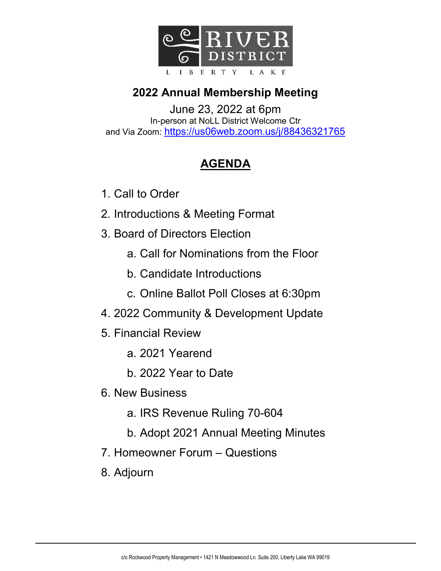

#### 2022 Annual Membership Meeting

June 23, 2022 at 6pm In-person at NoLL District Welcome Ctr and Via Zoom: https://us06web.zoom.us/j/88436321765

#### AGENDA

- 1. Call to Order
- 2. Introductions & Meeting Format
- 3. Board of Directors Election
	- a. Call for Nominations from the Floor
	- b. Candidate Introductions
	- c. Online Ballot Poll Closes at 6:30pm
- 4. 2022 Community & Development Update
- 5. Financial Review
	- a. 2021 Yearend
	- b. 2022 Year to Date
- 6. New Business
	- a. IRS Revenue Ruling 70-604
	- b. Adopt 2021 Annual Meeting Minutes
- 7. Homeowner Forum Questions
- 8. Adjourn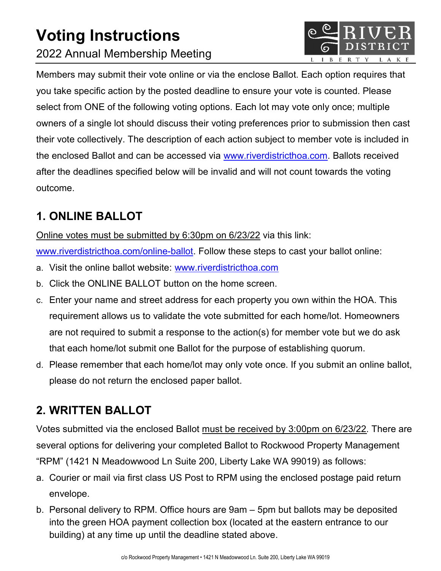# Voting Instructions 2022 Annual Membership Meeting



Members may submit their vote online or via the enclose Ballot. Each option requires that you take specific action by the posted deadline to ensure your vote is counted. Please select from ONE of the following voting options. Each lot may vote only once; multiple owners of a single lot should discuss their voting preferences prior to submission then cast their vote collectively. The description of each action subject to member vote is included in the enclosed Ballot and can be accessed via www.riverdistricthoa.com. Ballots received after the deadlines specified below will be invalid and will not count towards the voting outcome.

#### 1. ONLINE BALLOT

Online votes must be submitted by 6:30pm on 6/23/22 via this link:

www.riverdistricthoa.com/online-ballot. Follow these steps to cast your ballot online:

- a. Visit the online ballot website: www.riverdistricthoa.com
- b. Click the ONLINE BALLOT button on the home screen.
- c. Enter your name and street address for each property you own within the HOA. This requirement allows us to validate the vote submitted for each home/lot. Homeowners are not required to submit a response to the action(s) for member vote but we do ask that each home/lot submit one Ballot for the purpose of establishing quorum.
- d. Please remember that each home/lot may only vote once. If you submit an online ballot, please do not return the enclosed paper ballot.

## 2. WRITTEN BALLOT

Votes submitted via the enclosed Ballot must be received by 3:00pm on 6/23/22. There are several options for delivering your completed Ballot to Rockwood Property Management "RPM" (1421 N Meadowwood Ln Suite 200, Liberty Lake WA 99019) as follows:

- a. Courier or mail via first class US Post to RPM using the enclosed postage paid return envelope.
- b. Personal delivery to RPM. Office hours are 9am 5pm but ballots may be deposited into the green HOA payment collection box (located at the eastern entrance to our building) at any time up until the deadline stated above.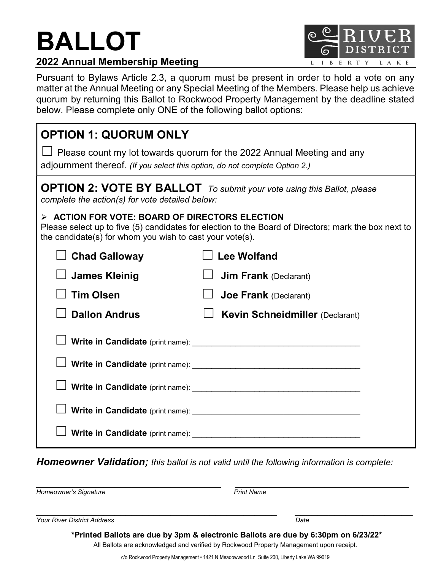# BALLOT



Pursuant to Bylaws Article 2.3, a quorum must be present in order to hold a vote on any matter at the Annual Meeting or any Special Meeting of the Members. Please help us achieve quorum by returning this Ballot to Rockwood Property Management by the deadline stated below. Please complete only ONE of the following ballot options:

| <b>OPTION 1: QUORUM ONLY</b>                                                                                                                                                                                       |                                        |
|--------------------------------------------------------------------------------------------------------------------------------------------------------------------------------------------------------------------|----------------------------------------|
| $\Box$ Please count my lot towards quorum for the 2022 Annual Meeting and any<br>adjournment thereof. (If you select this option, do not complete Option 2.)                                                       |                                        |
| <b>OPTION 2: VOTE BY BALLOT</b> To submit your vote using this Ballot, please<br>complete the action(s) for vote detailed below:                                                                                   |                                        |
| > ACTION FOR VOTE: BOARD OF DIRECTORS ELECTION<br>Please select up to five (5) candidates for election to the Board of Directors; mark the box next to<br>the candidate(s) for whom you wish to cast your vote(s). |                                        |
| <b>Chad Galloway</b>                                                                                                                                                                                               | <b>Lee Wolfand</b>                     |
| <b>James Kleinig</b>                                                                                                                                                                                               | <b>Jim Frank</b> (Declarant)           |
| <b>Tim Olsen</b>                                                                                                                                                                                                   | <b>Joe Frank</b> (Declarant)           |
| <b>Dallon Andrus</b>                                                                                                                                                                                               | <b>Kevin Schneidmiller (Declarant)</b> |
|                                                                                                                                                                                                                    |                                        |
|                                                                                                                                                                                                                    |                                        |
|                                                                                                                                                                                                                    |                                        |
|                                                                                                                                                                                                                    |                                        |
|                                                                                                                                                                                                                    |                                        |

Homeowner Validation; this ballot is not valid until the following information is complete:

Homeowner's Signature **Print Name** 

 $\overline{\phantom{a}}$  , and the contribution of the contribution of the contribution of the contribution of the contribution of the contribution of the contribution of the contribution of the contribution of the contribution of the

**Your River District Address Date Containers Address Address Date** 

\*Printed Ballots are due by 3pm & electronic Ballots are due by 6:30pm on 6/23/22\*

 $\mathcal{L}_\text{max}$  , and the contribution of the contribution of the contribution of the contribution of the contribution of the contribution of the contribution of the contribution of the contribution of the contribution of t

All Ballots are acknowledged and verified by Rockwood Property Management upon receipt.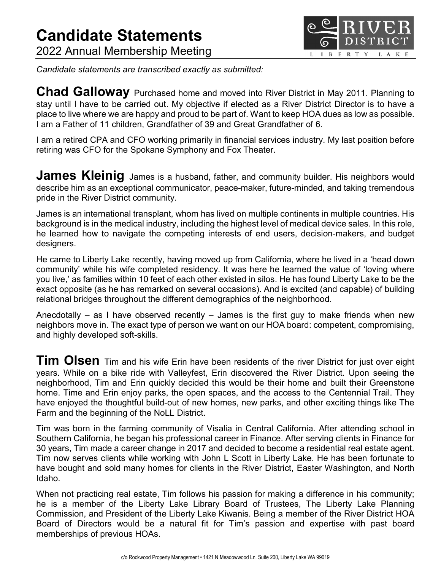

Candidate statements are transcribed exactly as submitted:

Chad Galloway Purchased home and moved into River District in May 2011. Planning to stay until I have to be carried out. My objective if elected as a River District Director is to have a place to live where we are happy and proud to be part of. Want to keep HOA dues as low as possible. I am a Father of 11 children, Grandfather of 39 and Great Grandfather of 6.

I am a retired CPA and CFO working primarily in financial services industry. My last position before retiring was CFO for the Spokane Symphony and Fox Theater.

**James Kleinig** James is a husband, father, and community builder. His neighbors would describe him as an exceptional communicator, peace-maker, future-minded, and taking tremendous pride in the River District community.

James is an international transplant, whom has lived on multiple continents in multiple countries. His background is in the medical industry, including the highest level of medical device sales. In this role, he learned how to navigate the competing interests of end users, decision-makers, and budget designers.

He came to Liberty Lake recently, having moved up from California, where he lived in a 'head down community' while his wife completed residency. It was here he learned the value of 'loving where you live,' as families within 10 feet of each other existed in silos. He has found Liberty Lake to be the exact opposite (as he has remarked on several occasions). And is excited (and capable) of building relational bridges throughout the different demographics of the neighborhood.

Anecdotally – as I have observed recently – James is the first guy to make friends when new neighbors move in. The exact type of person we want on our HOA board: competent, compromising, and highly developed soft-skills.

Tim Olsen Tim and his wife Erin have been residents of the river District for just over eight years. While on a bike ride with Valleyfest, Erin discovered the River District. Upon seeing the neighborhood, Tim and Erin quickly decided this would be their home and built their Greenstone home. Time and Erin enjoy parks, the open spaces, and the access to the Centennial Trail. They have enjoyed the thoughtful build-out of new homes, new parks, and other exciting things like The Farm and the beginning of the NoLL District.

Tim was born in the farming community of Visalia in Central California. After attending school in Southern California, he began his professional career in Finance. After serving clients in Finance for 30 years, Tim made a career change in 2017 and decided to become a residential real estate agent. Tim now serves clients while working with John L Scott in Liberty Lake. He has been fortunate to have bought and sold many homes for clients in the River District, Easter Washington, and North Idaho.

When not practicing real estate, Tim follows his passion for making a difference in his community; he is a member of the Liberty Lake Library Board of Trustees, The Liberty Lake Planning Commission, and President of the Liberty Lake Kiwanis. Being a member of the River District HOA Board of Directors would be a natural fit for Tim's passion and expertise with past board memberships of previous HOAs.